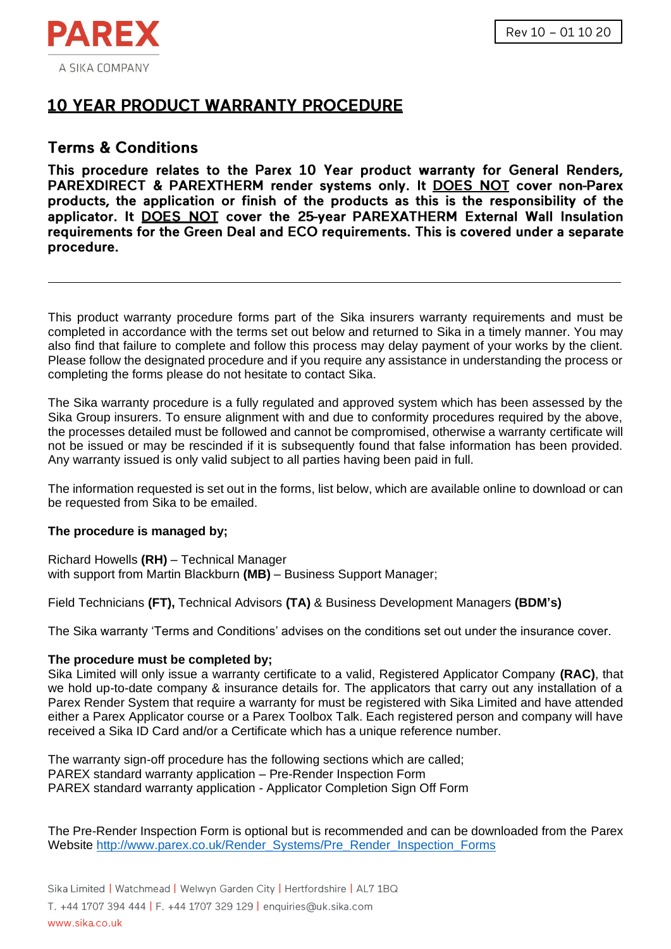

# **10 YEAR PRODUCT WARRANTY PROCEDURE**

# **Terms & Conditions**

This procedure relates to the Parex 10 Year product warranty for General Renders. PAREXDIRECT & PAREXTHERM render systems only. It DOES NOT cover non-Parex products, the application or finish of the products as this is the responsibility of the applicator. It DOES NOT cover the 25-year PAREXATHERM External Wall Insulation requirements for the Green Deal and ECO requirements. This is covered under a separate procedure.

This product warranty procedure forms part of the Sika insurers warranty requirements and must be completed in accordance with the terms set out below and returned to Sika in a timely manner. You may also find that failure to complete and follow this process may delay payment of your works by the client. Please follow the designated procedure and if you require any assistance in understanding the process or completing the forms please do not hesitate to contact Sika.

The Sika warranty procedure is a fully regulated and approved system which has been assessed by the Sika Group insurers. To ensure alignment with and due to conformity procedures required by the above, the processes detailed must be followed and cannot be compromised, otherwise a warranty certificate will not be issued or may be rescinded if it is subsequently found that false information has been provided. Any warranty issued is only valid subject to all parties having been paid in full.

The information requested is set out in the forms, list below, which are available online to download or can be requested from Sika to be emailed.

## **The procedure is managed by;**

Richard Howells **(RH)** – Technical Manager with support from Martin Blackburn **(MB)** – Business Support Manager;

Field Technicians **(FT),** Technical Advisors **(TA)** & Business Development Managers **(BDM's)**

The Sika warranty 'Terms and Conditions' advises on the conditions set out under the insurance cover.

## **The procedure must be completed by;**

Sika Limited will only issue a warranty certificate to a valid, Registered Applicator Company **(RAC)**, that we hold up-to-date company & insurance details for. The applicators that carry out any installation of a Parex Render System that require a warranty for must be registered with Sika Limited and have attended either a Parex Applicator course or a Parex Toolbox Talk. Each registered person and company will have received a Sika ID Card and/or a Certificate which has a unique reference number.

The warranty sign-off procedure has the following sections which are called; PAREX standard warranty application – Pre-Render Inspection Form PAREX standard warranty application - Applicator Completion Sign Off Form

The Pre-Render Inspection Form is optional but is recommended and can be downloaded from the Parex Website [http://www.parex.co.uk/Render\\_Systems/Pre\\_Render\\_Inspection\\_Forms](http://www.parex.co.uk/Render_Systems/Pre_Render_Inspection_Forms)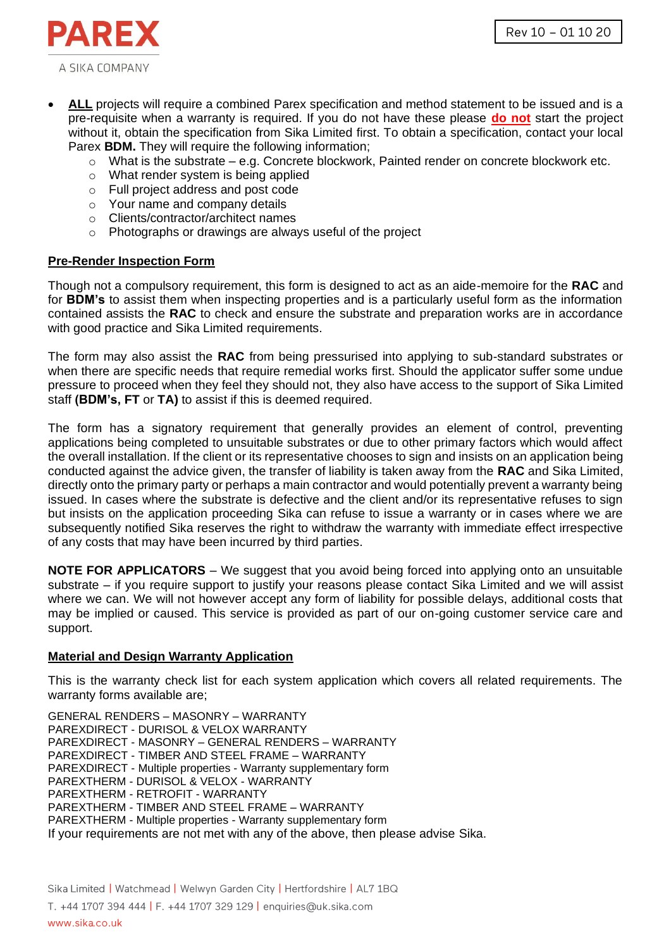Rev 10 - 01 10 20



- **ALL** projects will require a combined Parex specification and method statement to be issued and is a pre-requisite when a warranty is required. If you do not have these please **do not** start the project without it, obtain the specification from Sika Limited first. To obtain a specification, contact your local Parex **BDM.** They will require the following information;
	- $\circ$  What is the substrate e.g. Concrete blockwork, Painted render on concrete blockwork etc.
	- o What render system is being applied
	- o Full project address and post code
	- o Your name and company details
	- o Clients/contractor/architect names
	- o Photographs or drawings are always useful of the project

#### **Pre-Render Inspection Form**

Though not a compulsory requirement, this form is designed to act as an aide-memoire for the **RAC** and for **BDM's** to assist them when inspecting properties and is a particularly useful form as the information contained assists the **RAC** to check and ensure the substrate and preparation works are in accordance with good practice and Sika Limited requirements.

The form may also assist the **RAC** from being pressurised into applying to sub-standard substrates or when there are specific needs that require remedial works first. Should the applicator suffer some undue pressure to proceed when they feel they should not, they also have access to the support of Sika Limited staff **(BDM's, FT** or **TA)** to assist if this is deemed required.

The form has a signatory requirement that generally provides an element of control, preventing applications being completed to unsuitable substrates or due to other primary factors which would affect the overall installation. If the client or its representative chooses to sign and insists on an application being conducted against the advice given, the transfer of liability is taken away from the **RAC** and Sika Limited, directly onto the primary party or perhaps a main contractor and would potentially prevent a warranty being issued. In cases where the substrate is defective and the client and/or its representative refuses to sign but insists on the application proceeding Sika can refuse to issue a warranty or in cases where we are subsequently notified Sika reserves the right to withdraw the warranty with immediate effect irrespective of any costs that may have been incurred by third parties.

**NOTE FOR APPLICATORS** – We suggest that you avoid being forced into applying onto an unsuitable substrate – if you require support to justify your reasons please contact Sika Limited and we will assist where we can. We will not however accept any form of liability for possible delays, additional costs that may be implied or caused. This service is provided as part of our on-going customer service care and support.

## **Material and Design Warranty Application**

This is the warranty check list for each system application which covers all related requirements. The warranty forms available are;

GENERAL RENDERS – MASONRY – WARRANTY PAREXDIRECT - DURISOL & VELOX WARRANTY PAREXDIRECT - MASONRY – GENERAL RENDERS – WARRANTY PAREXDIRECT - TIMBER AND STEEL FRAME – WARRANTY PAREXDIRECT - Multiple properties - Warranty supplementary form PAREXTHERM - DURISOL & VELOX - WARRANTY PAREXTHERM - RETROFIT - WARRANTY PAREXTHERM - TIMBER AND STEEL FRAME – WARRANTY PAREXTHERM - Multiple properties - Warranty supplementary form If your requirements are not met with any of the above, then please advise Sika.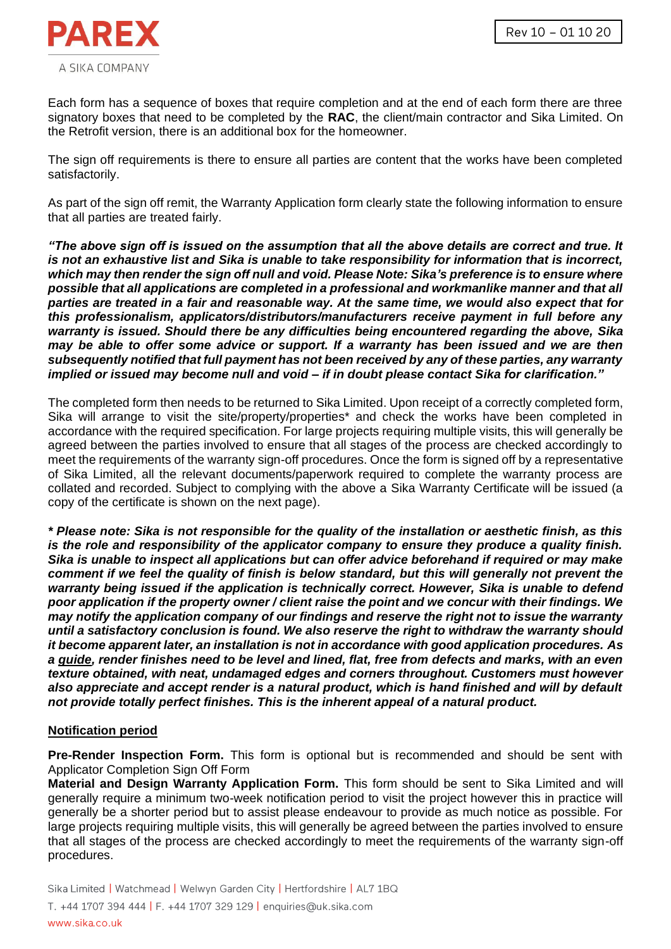

Each form has a sequence of boxes that require completion and at the end of each form there are three signatory boxes that need to be completed by the **RAC**, the client/main contractor and Sika Limited. On the Retrofit version, there is an additional box for the homeowner.

The sign off requirements is there to ensure all parties are content that the works have been completed satisfactorily.

As part of the sign off remit, the Warranty Application form clearly state the following information to ensure that all parties are treated fairly.

*"The above sign off is issued on the assumption that all the above details are correct and true. It is not an exhaustive list and Sika is unable to take responsibility for information that is incorrect, which may then render the sign off null and void. Please Note: Sika's preference is to ensure where possible that all applications are completed in a professional and workmanlike manner and that all parties are treated in a fair and reasonable way. At the same time, we would also expect that for this professionalism, applicators/distributors/manufacturers receive payment in full before any warranty is issued. Should there be any difficulties being encountered regarding the above, Sika may be able to offer some advice or support. If a warranty has been issued and we are then subsequently notified that full payment has not been received by any of these parties, any warranty implied or issued may become null and void – if in doubt please contact Sika for clarification."*

The completed form then needs to be returned to Sika Limited. Upon receipt of a correctly completed form, Sika will arrange to visit the site/property/properties<sup>\*</sup> and check the works have been completed in accordance with the required specification. For large projects requiring multiple visits, this will generally be agreed between the parties involved to ensure that all stages of the process are checked accordingly to meet the requirements of the warranty sign-off procedures. Once the form is signed off by a representative of Sika Limited, all the relevant documents/paperwork required to complete the warranty process are collated and recorded. Subject to complying with the above a Sika Warranty Certificate will be issued (a copy of the certificate is shown on the next page).

*\* Please note: Sika is not responsible for the quality of the installation or aesthetic finish, as this is the role and responsibility of the applicator company to ensure they produce a quality finish. Sika is unable to inspect all applications but can offer advice beforehand if required or may make comment if we feel the quality of finish is below standard, but this will generally not prevent the warranty being issued if the application is technically correct. However, Sika is unable to defend poor application if the property owner / client raise the point and we concur with their findings. We may notify the application company of our findings and reserve the right not to issue the warranty until a satisfactory conclusion is found. We also reserve the right to withdraw the warranty should it become apparent later, an installation is not in accordance with good application procedures. As a guide, render finishes need to be level and lined, flat, free from defects and marks, with an even texture obtained, with neat, undamaged edges and corners throughout. Customers must however also appreciate and accept render is a natural product, which is hand finished and will by default not provide totally perfect finishes. This is the inherent appeal of a natural product.*

#### **Notification period**

**Pre-Render Inspection Form.** This form is optional but is recommended and should be sent with Applicator Completion Sign Off Form

**Material and Design Warranty Application Form.** This form should be sent to Sika Limited and will generally require a minimum two-week notification period to visit the project however this in practice will generally be a shorter period but to assist please endeavour to provide as much notice as possible. For large projects requiring multiple visits, this will generally be agreed between the parties involved to ensure that all stages of the process are checked accordingly to meet the requirements of the warranty sign-off procedures.

Sika Limited | Watchmead | Welwyn Garden City | Hertfordshire | AL7 1BQ T. +44 1707 394 444 | F. +44 1707 329 129 | enquiries@uk.sika.com www.sika.co.uk